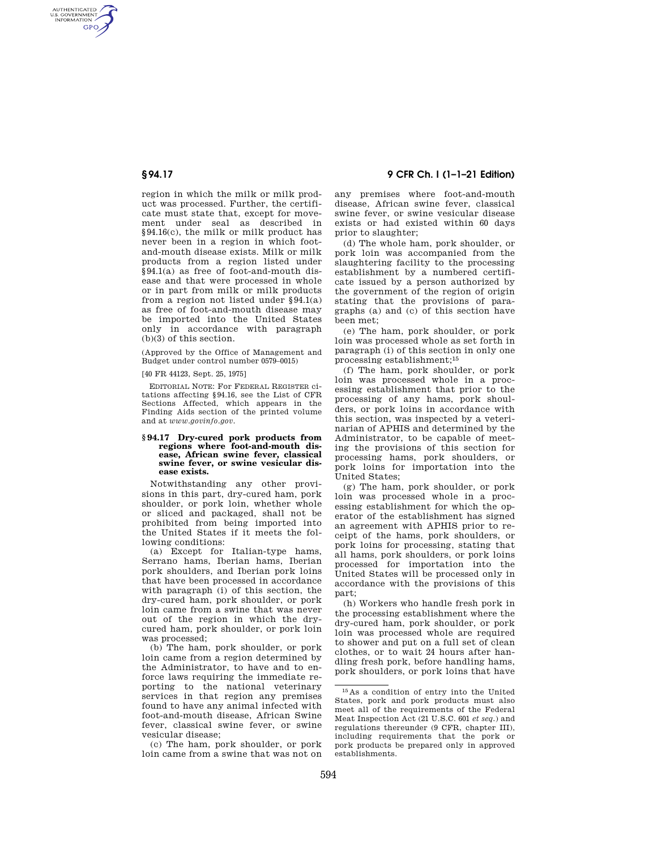AUTHENTICATED<br>U.S. GOVERNMENT<br>INFORMATION **GPO** 

> region in which the milk or milk product was processed. Further, the certificate must state that, except for movement under seal as described in §94.16(c), the milk or milk product has never been in a region in which footand-mouth disease exists. Milk or milk products from a region listed under §94.1(a) as free of foot-and-mouth disease and that were processed in whole or in part from milk or milk products from a region not listed under §94.1(a) as free of foot-and-mouth disease may be imported into the United States only in accordance with paragraph (b)(3) of this section.

(Approved by the Office of Management and Budget under control number 0579–0015)

[40 FR 44123, Sept. 25, 1975]

EDITORIAL NOTE: For FEDERAL REGISTER citations affecting §94.16, see the List of CFR Sections Affected, which appears in the Finding Aids section of the printed volume and at *www.govinfo.gov.* 

#### **§ 94.17 Dry-cured pork products from regions where foot-and-mouth disease, African swine fever, classical swine fever, or swine vesicular disease exists.**

Notwithstanding any other provisions in this part, dry-cured ham, pork shoulder, or pork loin, whether whole or sliced and packaged, shall not be prohibited from being imported into the United States if it meets the following conditions:

(a) Except for Italian-type hams, Serrano hams, Iberian hams, Iberian pork shoulders, and Iberian pork loins that have been processed in accordance with paragraph (i) of this section, the dry-cured ham, pork shoulder, or pork loin came from a swine that was never out of the region in which the drycured ham, pork shoulder, or pork loin was processed;

(b) The ham, pork shoulder, or pork loin came from a region determined by the Administrator, to have and to enforce laws requiring the immediate reporting to the national veterinary services in that region any premises found to have any animal infected with foot-and-mouth disease, African Swine fever, classical swine fever, or swine vesicular disease;

(c) The ham, pork shoulder, or pork loin came from a swine that was not on

# **§ 94.17 9 CFR Ch. I (1–1–21 Edition)**

any premises where foot-and-mouth disease, African swine fever, classical swine fever, or swine vesicular disease exists or had existed within 60 days prior to slaughter;

(d) The whole ham, pork shoulder, or pork loin was accompanied from the slaughtering facility to the processing establishment by a numbered certificate issued by a person authorized by the government of the region of origin stating that the provisions of paragraphs (a) and (c) of this section have been met;

(e) The ham, pork shoulder, or pork loin was processed whole as set forth in paragraph (i) of this section in only one processing establishment;15

(f) The ham, pork shoulder, or pork loin was processed whole in a processing establishment that prior to the processing of any hams, pork shoulders, or pork loins in accordance with this section, was inspected by a veterinarian of APHIS and determined by the Administrator, to be capable of meeting the provisions of this section for processing hams, pork shoulders, or pork loins for importation into the United States;

(g) The ham, pork shoulder, or pork loin was processed whole in a processing establishment for which the operator of the establishment has signed an agreement with APHIS prior to receipt of the hams, pork shoulders, or pork loins for processing, stating that all hams, pork shoulders, or pork loins processed for importation into the United States will be processed only in accordance with the provisions of this part;

(h) Workers who handle fresh pork in the processing establishment where the dry-cured ham, pork shoulder, or pork loin was processed whole are required to shower and put on a full set of clean clothes, or to wait 24 hours after handling fresh pork, before handling hams, pork shoulders, or pork loins that have

<sup>15</sup> As a condition of entry into the United States, pork and pork products must also meet all of the requirements of the Federal Meat Inspection Act (21 U.S.C. 601 *et seq.*) and regulations thereunder (9 CFR, chapter III), including requirements that the pork or pork products be prepared only in approved establishments.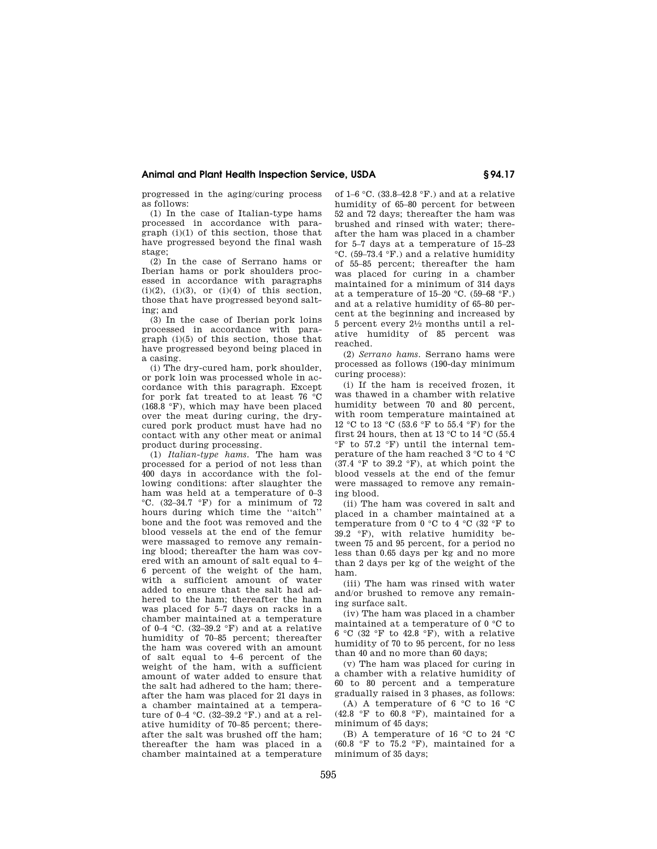## **Animal and Plant Health Inspection Service, USDA § 94.17**

progressed in the aging/curing process as follows:

(1) In the case of Italian-type hams processed in accordance with paraeraph (i)(1) of this section, those that have progressed beyond the final wash stage;

(2) In the case of Serrano hams or Iberian hams or pork shoulders processed in accordance with paragraphs  $(i)(2)$ ,  $(i)(3)$ , or  $(i)(4)$  of this section, those that have progressed beyond salting; and

(3) In the case of Iberian pork loins processed in accordance with paragraph (i)(5) of this section, those that have progressed beyond being placed in a casing.

(i) The dry-cured ham, pork shoulder, or pork loin was processed whole in accordance with this paragraph. Except for pork fat treated to at least 76 °C (168.8 °F), which may have been placed over the meat during curing, the drycured pork product must have had no contact with any other meat or animal product during processing.

(1) *Italian-type hams.* The ham was processed for a period of not less than 400 days in accordance with the following conditions: after slaughter the ham was held at a temperature of 0–3 °C. (32–34.7 °F) for a minimum of 72 hours during which time the ''aitch'' bone and the foot was removed and the blood vessels at the end of the femur were massaged to remove any remaining blood; thereafter the ham was covered with an amount of salt equal to 4– 6 percent of the weight of the ham, with a sufficient amount of water added to ensure that the salt had adhered to the ham; thereafter the ham was placed for 5–7 days on racks in a chamber maintained at a temperature of 0–4  $°C.$  (32–39.2 °F) and at a relative humidity of 70–85 percent; thereafter the ham was covered with an amount of salt equal to 4–6 percent of the weight of the ham, with a sufficient amount of water added to ensure that the salt had adhered to the ham; thereafter the ham was placed for 21 days in a chamber maintained at a temperature of 0–4 °C. (32–39.2 °F.) and at a relative humidity of 70–85 percent; thereafter the salt was brushed off the ham; thereafter the ham was placed in a chamber maintained at a temperature

of 1–6 °C. (33.8–42.8 °F.) and at a relative humidity of 65–80 percent for between 52 and 72 days; thereafter the ham was brushed and rinsed with water; thereafter the ham was placed in a chamber for 5–7 days at a temperature of 15–23 °C. (59–73.4 °F.) and a relative humidity of 55–85 percent; thereafter the ham was placed for curing in a chamber maintained for a minimum of 314 days at a temperature of 15–20 °C. (59–68 °F.) and at a relative humidity of 65–80 percent at the beginning and increased by 5 percent every 21⁄2 months until a relative humidity of 85 percent was reached.

(2) *Serrano hams.* Serrano hams were processed as follows (190-day minimum curing process):

(i) If the ham is received frozen, it was thawed in a chamber with relative humidity between 70 and 80 percent, with room temperature maintained at 12 °C to 13 °C (53.6 °F to 55.4 °F) for the first 24 hours, then at 13  $^\circ\mathrm{C}$  to 14  $^\circ\mathrm{C}$  (55.4 °F to 57.2 °F) until the internal temperature of the ham reached 3 °C to 4 °C  $(37.4 \, \degree \text{F}$  to  $39.2 \, \degree \text{F})$ , at which point the blood vessels at the end of the femur were massaged to remove any remaining blood.

(ii) The ham was covered in salt and placed in a chamber maintained at a temperature from 0 °C to 4 °C (32 °F to  $39.2 \text{ }^\circ \text{F}$ ), with relative humidity between 75 and 95 percent, for a period no less than 0.65 days per kg and no more than 2 days per kg of the weight of the ham.

(iii) The ham was rinsed with water and/or brushed to remove any remaining surface salt.

(iv) The ham was placed in a chamber maintained at a temperature of 0 °C to 6 °C (32 °F to 42.8 °F), with a relative humidity of 70 to 95 percent, for no less than 40 and no more than 60 days;

(v) The ham was placed for curing in a chamber with a relative humidity of 60 to 80 percent and a temperature gradually raised in 3 phases, as follows:

(A) A temperature of 6 °C to 16 °C  $(42.8 \degree \text{F}$  to  $60.8 \degree \text{F}$ ), maintained for a minimum of 45 days;

(B) A temperature of 16 °C to 24 °C  $(60.8 \text{ °F}$  to 75.2  $\text{ °F}$ ), maintained for a minimum of 35 days;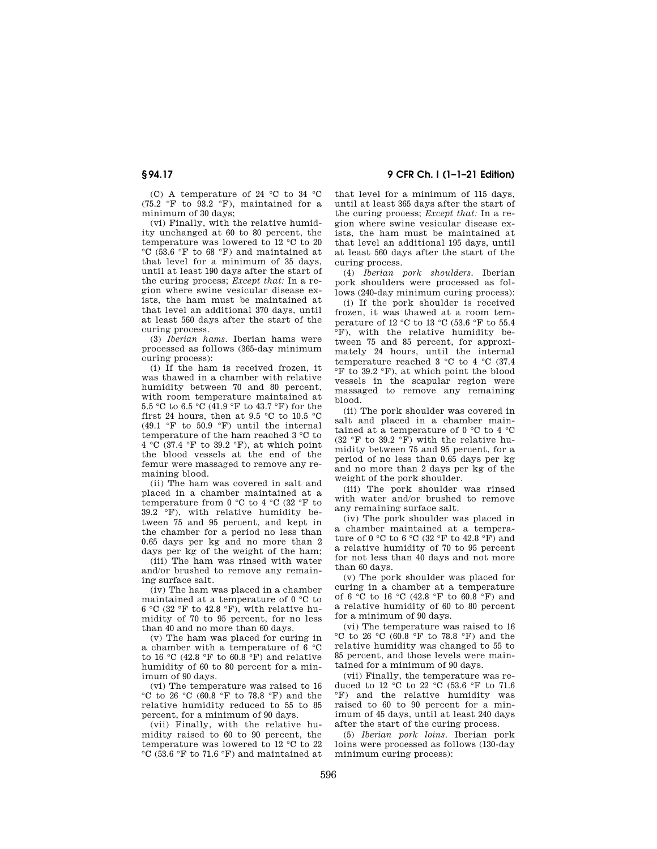(C) A temperature of 24 °C to 34 °C (75.2 °F to 93.2 °F), maintained for a minimum of 30 days;

(vi) Finally, with the relative humidity unchanged at 60 to 80 percent, the temperature was lowered to 12 °C to 20 °C (53.6 °F to 68 °F) and maintained at that level for a minimum of 35 days, until at least 190 days after the start of the curing process; *Except that:* In a region where swine vesicular disease exists, the ham must be maintained at that level an additional 370 days, until at least 560 days after the start of the curing process.

(3) *Iberian hams.* Iberian hams were processed as follows (365-day minimum curing process):

(i) If the ham is received frozen, it was thawed in a chamber with relative humidity between 70 and 80 percent, with room temperature maintained at 5.5 °C to 6.5 °C (41.9 °F to 43.7 °F) for the first 24 hours, then at 9.5  $\degree$ C to 10.5  $\degree$ C (49.1 °F to 50.9 °F) until the internal temperature of the ham reached 3 °C to  $4 \text{ °C}$  (37.4 °F to 39.2 °F), at which point the blood vessels at the end of the femur were massaged to remove any remaining blood.

(ii) The ham was covered in salt and placed in a chamber maintained at a temperature from 0 °C to 4 °C (32 °F to  $39.2 \degree$ F), with relative humidity between 75 and 95 percent, and kept in the chamber for a period no less than 0.65 days per kg and no more than 2 days per kg of the weight of the ham;

(iii) The ham was rinsed with water and/or brushed to remove any remaining surface salt.

(iv) The ham was placed in a chamber maintained at a temperature of 0 °C to 6 °C (32 °F to 42.8 °F), with relative humidity of 70 to 95 percent, for no less than 40 and no more than 60 days.

(v) The ham was placed for curing in a chamber with a temperature of 6 °C to 16 °C (42.8 °F to 60.8 °F) and relative humidity of 60 to 80 percent for a minimum of 90 days.

(vi) The temperature was raised to 16  $\rm{°C}$  to 26  $\rm{°C}$  (60.8  $\rm{°F}$  to 78.8  $\rm{°F}$ ) and the relative humidity reduced to 55 to 85 percent, for a minimum of 90 days.

(vii) Finally, with the relative humidity raised to 60 to 90 percent, the temperature was lowered to 12 °C to 22 °C (53.6 °F to 71.6 °F) and maintained at

**§ 94.17 9 CFR Ch. I (1–1–21 Edition)** 

that level for a minimum of 115 days, until at least 365 days after the start of the curing process; *Except that:* In a region where swine vesicular disease exists, the ham must be maintained at that level an additional 195 days, until at least 560 days after the start of the curing process.

(4) *Iberian pork shoulders.* Iberian pork shoulders were processed as follows (240-day minimum curing process):

(i) If the pork shoulder is received frozen, it was thawed at a room temperature of 12 °C to 13 °C (53.6 °F to 55.4 °F), with the relative humidity between 75 and 85 percent, for approximately 24 hours, until the internal temperature reached 3 °C to 4 °C (37.4 °F to 39.2 °F), at which point the blood vessels in the scapular region were massaged to remove any remaining blood.

(ii) The pork shoulder was covered in salt and placed in a chamber maintained at a temperature of 0 °C to 4 °C (32 °F to 39.2 °F) with the relative humidity between 75 and 95 percent, for a period of no less than 0.65 days per kg and no more than 2 days per kg of the weight of the pork shoulder.

(iii) The pork shoulder was rinsed with water and/or brushed to remove any remaining surface salt.

(iv) The pork shoulder was placed in a chamber maintained at a temperature of 0 °C to 6 °C (32 °F to 42.8 °F) and a relative humidity of 70 to 95 percent for not less than 40 days and not more than 60 days.

(v) The pork shoulder was placed for curing in a chamber at a temperature of 6 °C to 16 °C (42.8 °F to 60.8 °F) and a relative humidity of 60 to 80 percent for a minimum of 90 days.

(vi) The temperature was raised to 16 °C to 26 °C (60.8 °F to 78.8 °F) and the relative humidity was changed to 55 to 85 percent, and those levels were maintained for a minimum of 90 days.

(vii) Finally, the temperature was reduced to 12  $\degree$ C to 22  $\degree$ C (53.6  $\degree$ F to 71.6 °F) and the relative humidity was raised to 60 to 90 percent for a minimum of 45 days, until at least 240 days after the start of the curing process.

(5) *Iberian pork loins.* Iberian pork loins were processed as follows (130-day minimum curing process):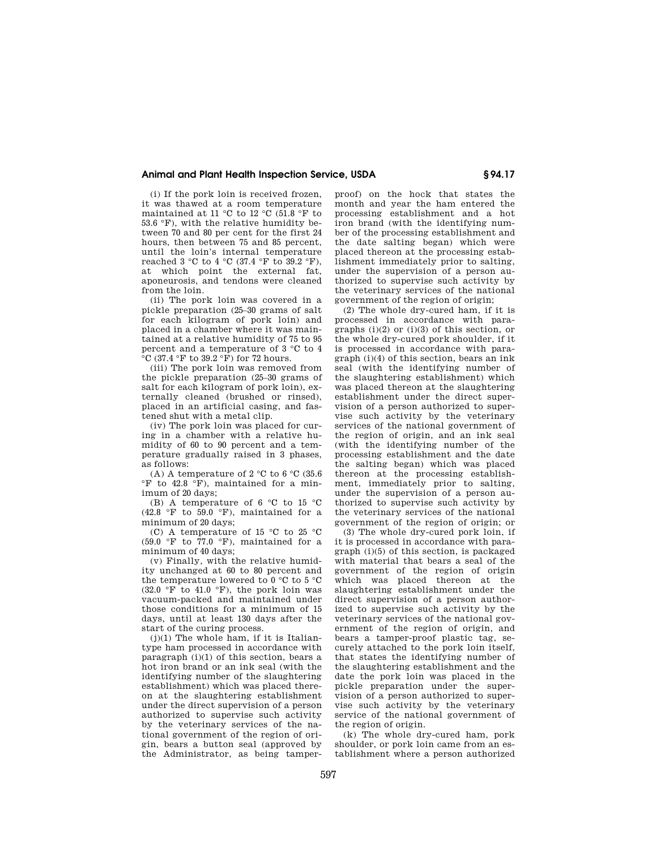## **Animal and Plant Health Inspection Service, USDA § 94.17**

(i) If the pork loin is received frozen, it was thawed at a room temperature maintained at 11 °C to 12 °C (51.8 °F to 53.6 °F), with the relative humidity between 70 and 80 per cent for the first 24 hours, then between 75 and 85 percent, until the loin's internal temperature reached 3 °C to 4 °C (37.4 °F to 39.2 °F), at which point the external fat, aponeurosis, and tendons were cleaned from the loin.

(ii) The pork loin was covered in a pickle preparation (25–30 grams of salt for each kilogram of pork loin) and placed in a chamber where it was maintained at a relative humidity of 75 to 95 percent and a temperature of 3 °C to 4  $\overline{^\circ}$ C (37.4  $\overline{^\circ}$ F to 39.2  $\overline{^\circ}$ F) for 72 hours.

(iii) The pork loin was removed from the pickle preparation (25–30 grams of salt for each kilogram of pork loin), externally cleaned (brushed or rinsed), placed in an artificial casing, and fastened shut with a metal clip.

(iv) The pork loin was placed for curing in a chamber with a relative humidity of 60 to 90 percent and a temperature gradually raised in 3 phases, as follows:

(A) A temperature of 2 °C to 6 °C (35.6) °F to 42.8 °F), maintained for a minimum of 20 days;

(B) A temperature of 6 °C to 15 °C  $(42.8 \degree F$  to 59.0 °F), maintained for a minimum of 20 days;

(C) A temperature of 15 °C to 25 °C  $(59.0 \degree F)$  to  $77.0 \degree F$ ), maintained for a minimum of 40 days;

(v) Finally, with the relative humidity unchanged at 60 to 80 percent and the temperature lowered to 0 °C to 5 °C  $(32.0 \degree \overline{F}$  to 41.0 °F), the pork loin was vacuum-packed and maintained under those conditions for a minimum of 15 days, until at least 130 days after the start of the curing process.

 $(j)(1)$  The whole ham, if it is Italiantype ham processed in accordance with paragraph (i)(1) of this section, bears a hot iron brand or an ink seal (with the identifying number of the slaughtering establishment) which was placed thereon at the slaughtering establishment under the direct supervision of a person authorized to supervise such activity by the veterinary services of the national government of the region of origin, bears a button seal (approved by the Administrator, as being tamperproof) on the hock that states the month and year the ham entered the processing establishment and a hot iron brand (with the identifying number of the processing establishment and the date salting began) which were placed thereon at the processing establishment immediately prior to salting, under the supervision of a person authorized to supervise such activity by the veterinary services of the national government of the region of origin;

(2) The whole dry-cured ham, if it is processed in accordance with paragraphs (i)(2) or (i)(3) of this section, or the whole dry-cured pork shoulder, if it is processed in accordance with paragraph (i)(4) of this section, bears an ink seal (with the identifying number of the slaughtering establishment) which was placed thereon at the slaughtering establishment under the direct supervision of a person authorized to supervise such activity by the veterinary services of the national government of the region of origin, and an ink seal (with the identifying number of the processing establishment and the date the salting began) which was placed thereon at the processing establishment, immediately prior to salting, under the supervision of a person authorized to supervise such activity by the veterinary services of the national government of the region of origin; or

(3) The whole dry-cured pork loin, if it is processed in accordance with paragraph (i)(5) of this section, is packaged with material that bears a seal of the government of the region of origin which was placed thereon at the slaughtering establishment under the direct supervision of a person authorized to supervise such activity by the veterinary services of the national government of the region of origin, and bears a tamper-proof plastic tag, securely attached to the pork loin itself, that states the identifying number of the slaughtering establishment and the date the pork loin was placed in the pickle preparation under the supervision of a person authorized to supervise such activity by the veterinary service of the national government of the region of origin.

(k) The whole dry-cured ham, pork shoulder, or pork loin came from an establishment where a person authorized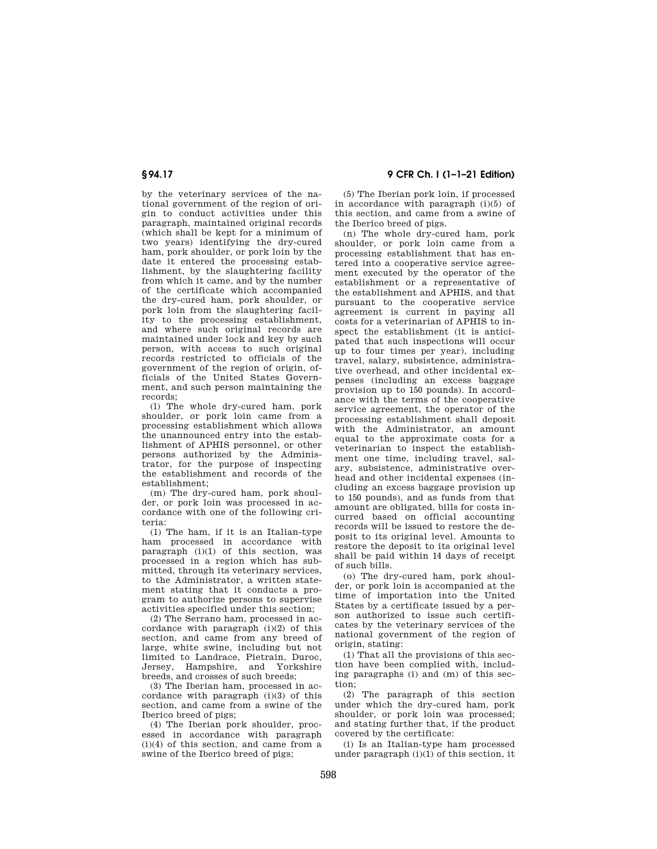by the veterinary services of the national government of the region of origin to conduct activities under this paragraph, maintained original records (which shall be kept for a minimum of two years) identifying the dry-cured ham, pork shoulder, or pork loin by the date it entered the processing establishment, by the slaughtering facility from which it came, and by the number of the certificate which accompanied the dry-cured ham, pork shoulder, or pork loin from the slaughtering facility to the processing establishment, and where such original records are maintained under lock and key by such person, with access to such original records restricted to officials of the government of the region of origin, officials of the United States Government, and such person maintaining the records;

(l) The whole dry-cured ham, pork shoulder, or pork loin came from a processing establishment which allows the unannounced entry into the establishment of APHIS personnel, or other persons authorized by the Administrator, for the purpose of inspecting the establishment and records of the establishment;

(m) The dry-cured ham, pork shoulder, or pork loin was processed in accordance with one of the following criteria:

(1) The ham, if it is an Italian-type ham processed in accordance with paragraph  $(i)(1)$  of this section, was processed in a region which has submitted, through its veterinary services, to the Administrator, a written statement stating that it conducts a program to authorize persons to supervise activities specified under this section;

(2) The Serrano ham, processed in accordance with paragraph (i)(2) of this section, and came from any breed of large, white swine, including but not limited to Landrace, Pietrain, Duroc, Jersey, Hampshire, and Yorkshire breeds, and crosses of such breeds;

(3) The Iberian ham, processed in accordance with paragraph (i)(3) of this section, and came from a swine of the Iberico breed of pigs;

(4) The Iberian pork shoulder, processed in accordance with paragraph (i)(4) of this section, and came from a swine of the Iberico breed of pigs:

**§ 94.17 9 CFR Ch. I (1–1–21 Edition)** 

(5) The Iberian pork loin, if processed in accordance with paragraph (i)(5) of this section, and came from a swine of the Iberico breed of pigs.

(n) The whole dry-cured ham, pork shoulder, or pork loin came from a processing establishment that has entered into a cooperative service agreement executed by the operator of the establishment or a representative of the establishment and APHIS, and that pursuant to the cooperative service agreement is current in paying all costs for a veterinarian of APHIS to inspect the establishment (it is anticipated that such inspections will occur up to four times per year), including travel, salary, subsistence, administrative overhead, and other incidental expenses (including an excess baggage provision up to 150 pounds). In accordance with the terms of the cooperative service agreement, the operator of the processing establishment shall deposit with the Administrator, an amount equal to the approximate costs for a veterinarian to inspect the establishment one time, including travel, salary, subsistence, administrative overhead and other incidental expenses (including an excess baggage provision up to 150 pounds), and as funds from that amount are obligated, bills for costs incurred based on official accounting records will be issued to restore the deposit to its original level. Amounts to restore the deposit to its original level shall be paid within 14 days of receipt of such bills.

(o) The dry-cured ham, pork shoulder, or pork loin is accompanied at the time of importation into the United States by a certificate issued by a person authorized to issue such certificates by the veterinary services of the national government of the region of origin, stating:

(1) That all the provisions of this section have been complied with, including paragraphs (i) and (m) of this section;

(2) The paragraph of this section under which the dry-cured ham, pork shoulder, or pork loin was processed; and stating further that, if the product covered by the certificate:

(i) Is an Italian-type ham processed under paragraph  $(i)(1)$  of this section, it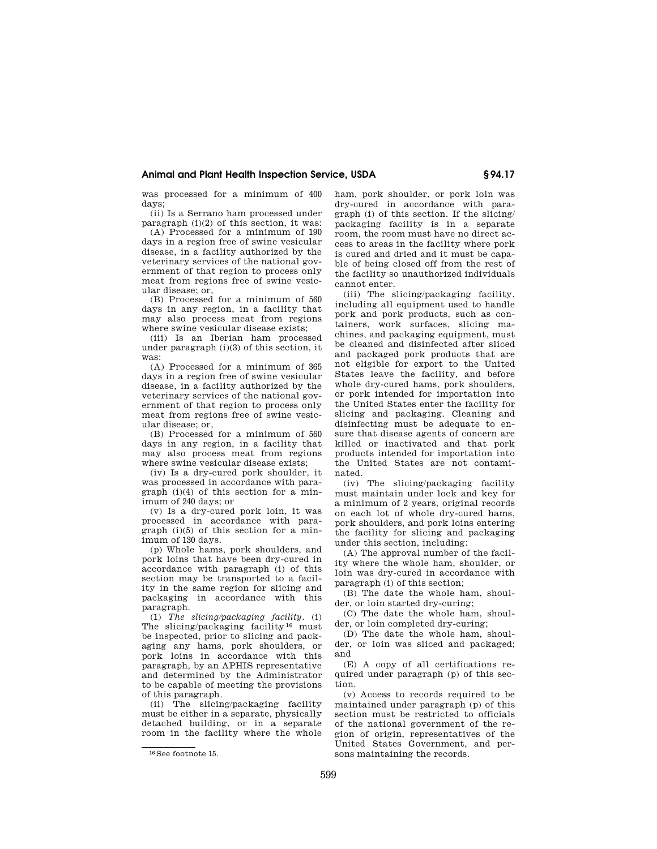## **Animal and Plant Health Inspection Service, USDA § 94.17**

was processed for a minimum of 400 days;

(ii) Is a Serrano ham processed under paragraph (i)(2) of this section, it was:

(A) Processed for a minimum of 190 days in a region free of swine vesicular disease, in a facility authorized by the veterinary services of the national government of that region to process only meat from regions free of swine vesicular disease; or,

(B) Processed for a minimum of 560 days in any region, in a facility that may also process meat from regions where swine vesicular disease exists;

(iii) Is an Iberian ham processed under paragraph (i)(3) of this section, it was:

(A) Processed for a minimum of 365 days in a region free of swine vesicular disease, in a facility authorized by the veterinary services of the national government of that region to process only meat from regions free of swine vesicular disease; or,

(B) Processed for a minimum of 560 days in any region, in a facility that may also process meat from regions where swine vesicular disease exists;

(iv) Is a dry-cured pork shoulder, it was processed in accordance with paragraph (i)(4) of this section for a minimum of 240 days; or

(v) Is a dry-cured pork loin, it was processed in accordance with paragraph (i)(5) of this section for a minimum of 130 days.

(p) Whole hams, pork shoulders, and pork loins that have been dry-cured in accordance with paragraph (i) of this section may be transported to a facility in the same region for slicing and packaging in accordance with this paragraph.

(1) *The slicing/packaging facility.* (i) The slicing/packaging facility<sup>16</sup> must be inspected, prior to slicing and packaging any hams, pork shoulders, or pork loins in accordance with this paragraph, by an APHIS representative and determined by the Administrator to be capable of meeting the provisions of this paragraph.

(ii) The slicing/packaging facility must be either in a separate, physically detached building, or in a separate room in the facility where the whole ham, pork shoulder, or pork loin was dry-cured in accordance with paragraph (i) of this section. If the slicing/ packaging facility is in a separate room, the room must have no direct access to areas in the facility where pork is cured and dried and it must be capable of being closed off from the rest of the facility so unauthorized individuals cannot enter.

(iii) The slicing/packaging facility, including all equipment used to handle pork and pork products, such as containers, work surfaces, slicing machines, and packaging equipment, must be cleaned and disinfected after sliced and packaged pork products that are not eligible for export to the United States leave the facility, and before whole dry-cured hams, pork shoulders, or pork intended for importation into the United States enter the facility for slicing and packaging. Cleaning and disinfecting must be adequate to ensure that disease agents of concern are killed or inactivated and that pork products intended for importation into the United States are not contaminated.

(iv) The slicing/packaging facility must maintain under lock and key for a minimum of 2 years, original records on each lot of whole dry-cured hams, pork shoulders, and pork loins entering the facility for slicing and packaging under this section, including:

(A) The approval number of the facility where the whole ham, shoulder, or loin was dry-cured in accordance with paragraph (i) of this section;

(B) The date the whole ham, shoulder, or loin started dry-curing;

(C) The date the whole ham, shoulder, or loin completed dry-curing;

(D) The date the whole ham, shoulder, or loin was sliced and packaged; and

(E) A copy of all certifications required under paragraph (p) of this section.

(v) Access to records required to be maintained under paragraph (p) of this section must be restricted to officials of the national government of the region of origin, representatives of the United States Government, and persons maintaining the records.

<sup>16</sup> See footnote 15.